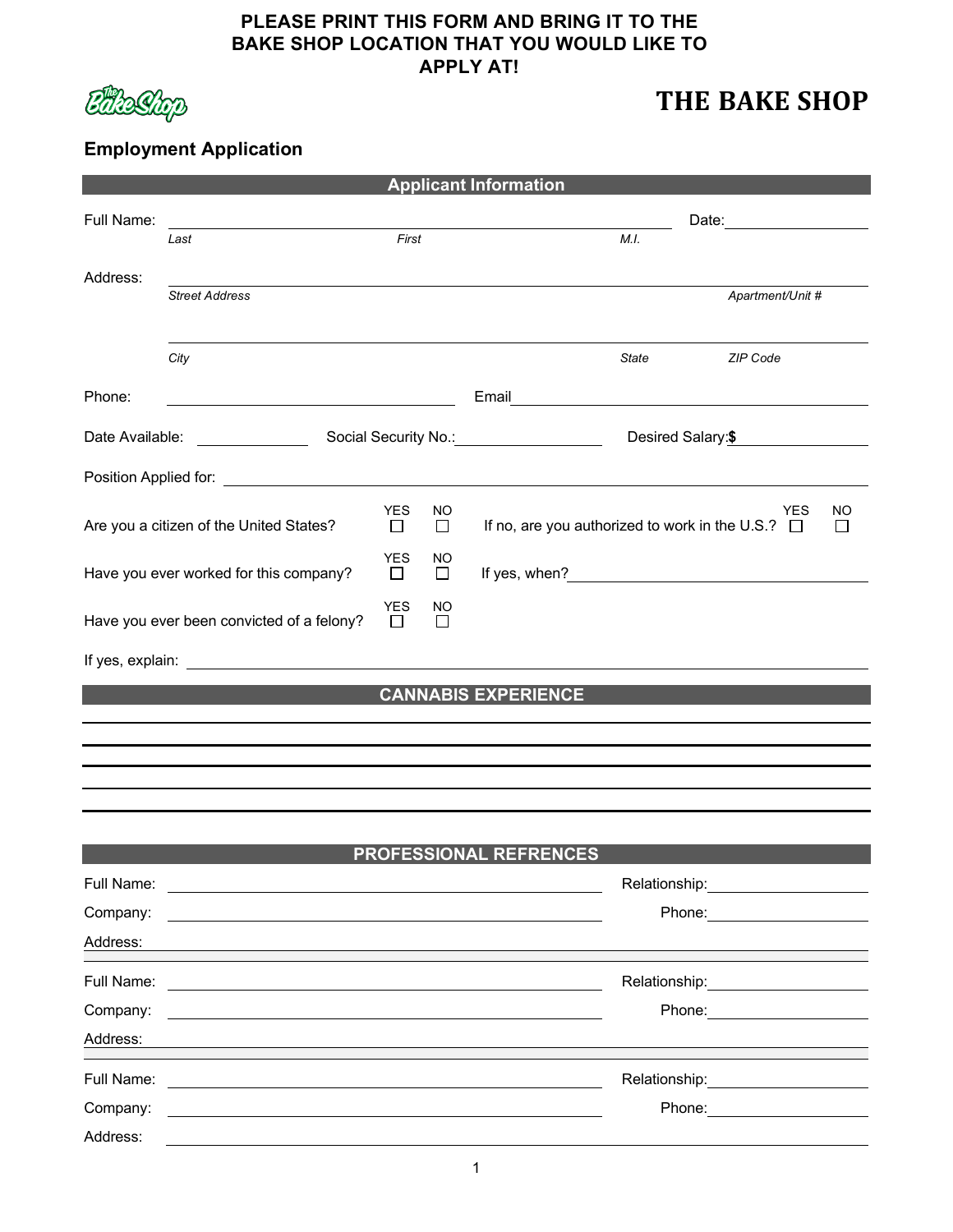## **PLEASE PRINT THIS FORM AND BRING IT TO THE BAKE SHOP LOCATION THAT YOU WOULD LIKE TO APPLY AT!**



# **THE BAKE SHOP**

# **Employment Application**

| <b>Applicant Information</b>                                      |                                                                                                                      |       |                     |                                                                                            |  |  |  |  |
|-------------------------------------------------------------------|----------------------------------------------------------------------------------------------------------------------|-------|---------------------|--------------------------------------------------------------------------------------------|--|--|--|--|
| Full Name:                                                        | Last                                                                                                                 | First |                     | Date: <u>_______</u><br>M.I.                                                               |  |  |  |  |
| Address:                                                          | <b>Street Address</b>                                                                                                |       |                     | Apartment/Unit #                                                                           |  |  |  |  |
|                                                                   | City                                                                                                                 |       |                     | ZIP Code<br>State                                                                          |  |  |  |  |
| Phone:<br>Date Available:                                         |                                                                                                                      |       |                     | Email <u>__________________________</u><br>Social Security No.: 1994<br>Desired Salary: \$ |  |  |  |  |
|                                                                   |                                                                                                                      |       |                     |                                                                                            |  |  |  |  |
| <b>YES</b><br>Are you a citizen of the United States?<br>$\Box$   |                                                                                                                      |       | <b>NO</b><br>$\Box$ | <b>YES</b><br><b>NO</b><br>If no, are you authorized to work in the U.S.? $\Box$           |  |  |  |  |
| <b>YES</b><br>Have you ever worked for this company?              |                                                                                                                      |       | NO<br>$\Box$        |                                                                                            |  |  |  |  |
| <b>YES</b><br>Have you ever been convicted of a felony?<br>$\Box$ |                                                                                                                      |       | NO<br>$\Box$        |                                                                                            |  |  |  |  |
|                                                                   |                                                                                                                      |       |                     |                                                                                            |  |  |  |  |
|                                                                   |                                                                                                                      |       |                     | <b>CANNABIS EXPERIENCE</b>                                                                 |  |  |  |  |
|                                                                   |                                                                                                                      |       |                     |                                                                                            |  |  |  |  |
|                                                                   |                                                                                                                      |       |                     |                                                                                            |  |  |  |  |
|                                                                   |                                                                                                                      |       |                     |                                                                                            |  |  |  |  |
|                                                                   |                                                                                                                      |       |                     | <b>PROFESSIONAL REFRENCES</b>                                                              |  |  |  |  |
| Full Name:                                                        |                                                                                                                      |       |                     | Relationship:                                                                              |  |  |  |  |
| Company:<br>Address:                                              |                                                                                                                      |       |                     | Phone: <u>________</u>                                                                     |  |  |  |  |
| Full Name:                                                        | <u> 1989 - John Stein, Amerikaansk politiker († 1989)</u>                                                            |       |                     | Relationship: <b>Example 2019</b>                                                          |  |  |  |  |
| Company:                                                          |                                                                                                                      |       |                     | Phone: <u>_______</u>                                                                      |  |  |  |  |
| Address:                                                          |                                                                                                                      |       |                     |                                                                                            |  |  |  |  |
| Full Name:                                                        | <u> 1989 - John Stein, markin film yn y brenin y brenin y brenin y brenin y brenin y brenin y brenin y brenin yn</u> |       |                     | Relationship: ____________________                                                         |  |  |  |  |
| Company:                                                          |                                                                                                                      |       |                     | Phone: <u>_______________</u>                                                              |  |  |  |  |
| Address:                                                          |                                                                                                                      |       |                     |                                                                                            |  |  |  |  |